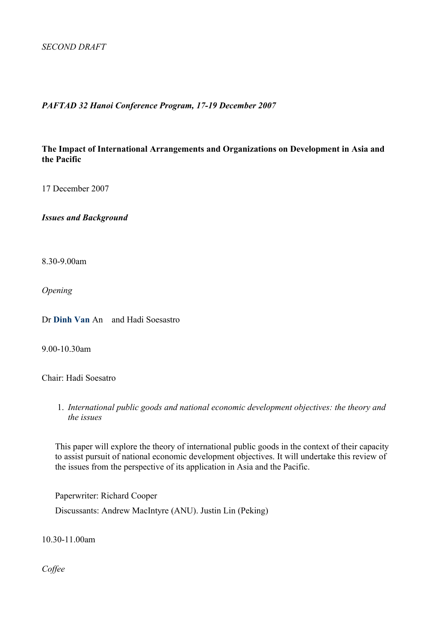#### *PAFTAD 32 Hanoi Conference Program, 17-19 December 2007*

**The Impact of International Arrangements and Organizations on Development in Asia and the Pacific**

17 December 2007

*Issues and Background*

8.30-9.00am

*Opening*

Dr **Dinh Van** An and Hadi Soesastro

9.00-10.30am

Chair: Hadi Soesatro

1. *International public goods and national economic development objectives: the theory and the issues*

This paper will explore the theory of international public goods in the context of their capacity to assist pursuit of national economic development objectives. It will undertake this review of the issues from the perspective of its application in Asia and the Pacific.

Paperwriter: Richard Cooper Discussants: Andrew MacIntyre (ANU). Justin Lin (Peking)

10.30-11.00am

*Coffee*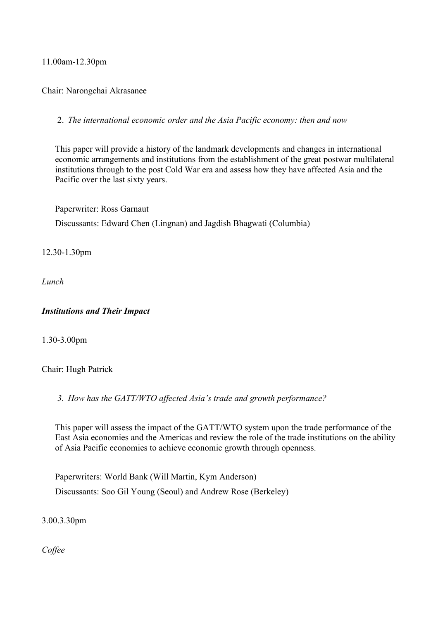## 11.00am-12.30pm

Chair: Narongchai Akrasanee

2. *The international economic order and the Asia Pacific economy: then and now*

This paper will provide a history of the landmark developments and changes in international economic arrangements and institutions from the establishment of the great postwar multilateral institutions through to the post Cold War era and assess how they have affected Asia and the Pacific over the last sixty years.

Paperwriter: Ross Garnaut Discussants: Edward Chen (Lingnan) and Jagdish Bhagwati (Columbia)

12.30-1.30pm

*Lunch*

#### *Institutions and Their Impact*

1.30-3.00pm

Chair: Hugh Patrick

*3. How has the GATT/WTO affected Asia's trade and growth performance?* 

This paper will assess the impact of the GATT/WTO system upon the trade performance of the East Asia economies and the Americas and review the role of the trade institutions on the ability of Asia Pacific economies to achieve economic growth through openness.

Paperwriters: World Bank (Will Martin, Kym Anderson) Discussants: Soo Gil Young (Seoul) and Andrew Rose (Berkeley)

3.00.3.30pm

*Coffee*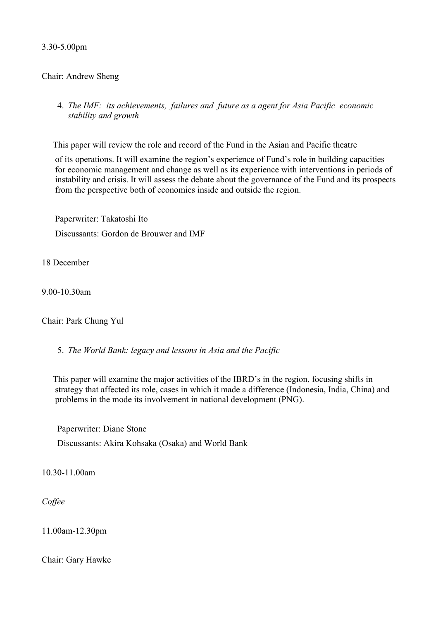3.30-5.00pm

## Chair: Andrew Sheng

4. *The IMF: its achievements, failures and future as a agent for Asia Pacific economic stability and growth*

This paper will review the role and record of the Fund in the Asian and Pacific theatre

of its operations. It will examine the region's experience of Fund's role in building capacities for economic management and change as well as its experience with interventions in periods of instability and crisis. It will assess the debate about the governance of the Fund and its prospects from the perspective both of economies inside and outside the region.

Paperwriter: Takatoshi Ito Discussants: Gordon de Brouwer and IMF

18 December

9.00-10.30am

Chair: Park Chung Yul

5. *The World Bank: legacy and lessons in Asia and the Pacific*

This paper will examine the major activities of the IBRD's in the region, focusing shifts in strategy that affected its role, cases in which it made a difference (Indonesia, India, China) and problems in the mode its involvement in national development (PNG).

Paperwriter: Diane Stone Discussants: Akira Kohsaka (Osaka) and World Bank

10.30-11.00am

*Coffee*

11.00am-12.30pm

Chair: Gary Hawke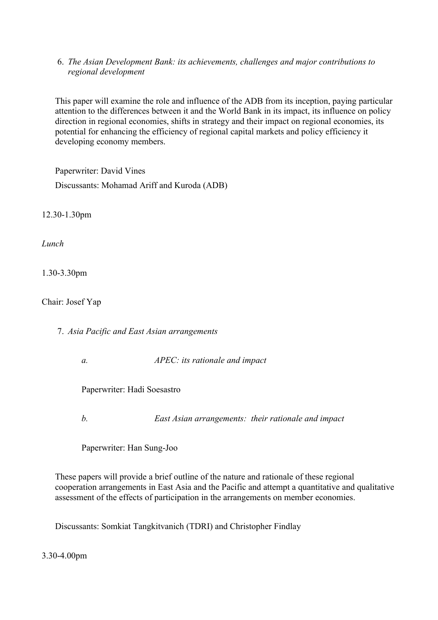6. *The Asian Development Bank: its achievements, challenges and major contributions to regional development*

This paper will examine the role and influence of the ADB from its inception, paying particular attention to the differences between it and the World Bank in its impact, its influence on policy direction in regional economies, shifts in strategy and their impact on regional economies, its potential for enhancing the efficiency of regional capital markets and policy efficiency it developing economy members.

Paperwriter: David Vines Discussants: Mohamad Ariff and Kuroda (ADB)

12.30-1.30pm

*Lunch*

1.30-3.30pm

Chair: Josef Yap

7. *Asia Pacific and East Asian arrangements*

*a. APEC: its rationale and impact*

Paperwriter: Hadi Soesastro

*b. East Asian arrangements: their rationale and impact*

Paperwriter: Han Sung-Joo

These papers will provide a brief outline of the nature and rationale of these regional cooperation arrangements in East Asia and the Pacific and attempt a quantitative and qualitative assessment of the effects of participation in the arrangements on member economies.

Discussants: Somkiat Tangkitvanich (TDRI) and Christopher Findlay

3.30-4.00pm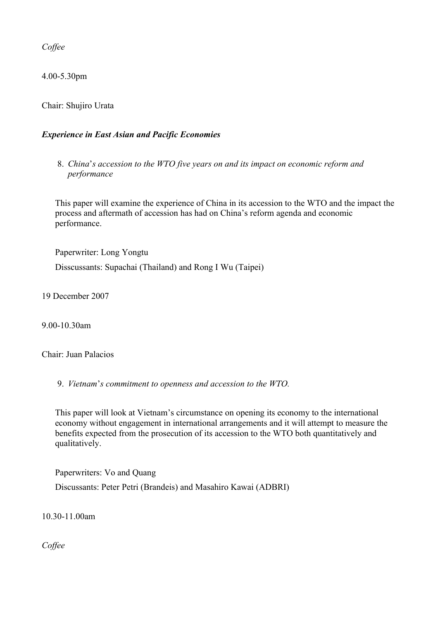*Coffee*

4.00-5.30pm

Chair: Shujiro Urata

# *Experience in East Asian and Pacific Economies*

8. *China*'*s accession to the WTO five years on and its impact on economic reform and performance*

This paper will examine the experience of China in its accession to the WTO and the impact the process and aftermath of accession has had on China's reform agenda and economic performance.

Paperwriter: Long Yongtu Disscussants: Supachai (Thailand) and Rong I Wu (Taipei)

19 December 2007

9.00-10.30am

Chair: Juan Palacios

9. *Vietnam*'*s commitment to openness and accession to the WTO.*

This paper will look at Vietnam's circumstance on opening its economy to the international economy without engagement in international arrangements and it will attempt to measure the benefits expected from the prosecution of its accession to the WTO both quantitatively and qualitatively.

Paperwriters: Vo and Quang

Discussants: Peter Petri (Brandeis) and Masahiro Kawai (ADBRI)

10.30-11.00am

*Coffee*